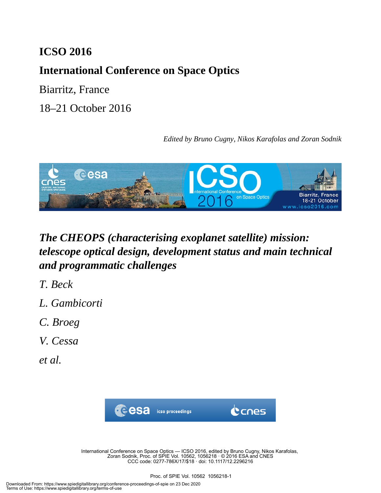## **ICSO 2016**

# **International Conference on Space Optics**

Biarritz, France

18–21 October 2016

*Edited by Bruno Cugny, Nikos Karafolas and Zoran Sodnik*



# *The CHEOPS (characterising exoplanet satellite) mission: telescope optical design, development status and main technical and programmatic challenges*

- *T. Beck*
- *L. Gambicorti*
- *C. Broeg*
- *V. Cessa*
- *et al.*



International Conference on Space Optics — ICSO 2016, edited by Bruno Cugny, Nikos Karafolas, Zoran Sodnik, Proc. of SPIE Vol. 10562, 1056218 · © 2016 ESA and CNES CCC code: 0277-786X/17/\$18 · doi: 10.1117/12.2296216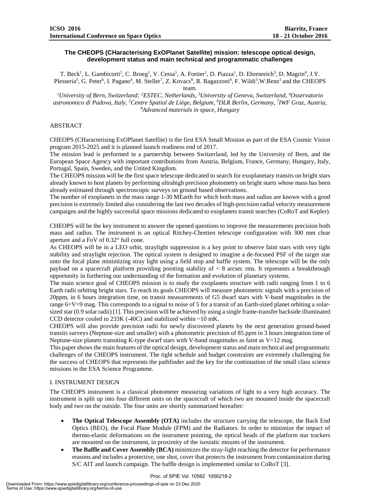## **The CHEOPS (CHaracterising ExOPlanet Satellite) mission: telescope optical design, development status and main technical and programmatic challenges**

T. Beck<sup>1</sup>, L. Gambicorti<sup>2</sup>, C. Broeg<sup>1</sup>, V. Cessa<sup>1</sup>, A. Fortier<sup>1</sup>, D. Piazza<sup>1</sup>, D. Ehrenreich<sup>3</sup>, D. Magrin<sup>4</sup>, J.Y. Plesseria<sup>5</sup>, G. Peter<sup>6</sup>, I. Pagano<sup>4</sup>, M. Steller<sup>7</sup>, Z. Kovacs<sup>8</sup>, R. Ragazzoni<sup>4</sup>, F. Wildi<sup>3</sup>, W.Benz<sup>1</sup> and the CHEOPS team.

*1 University of Bern, Switzerland; 2 ESTEC, Netherlands, 3 University of Geneva, Switzerland, 4 Osservatorio astronomico di Padova, Italy, 5 Centre Spatial de Liège, Belgium, 6 DLR Berlin, Germany, 7 IWF Graz, Austria, 8 Advanced materials in space, Hungary*

## ABSTRACT

CHEOPS (CHaracterising ExOPlanet Satellite) is the first ESA Small Mission as part of the ESA Cosmic Vision program 2015-2025 and it is planned launch readiness end of 2017.

The mission lead is performed in a partnership between Switzerland, led by the University of Bern, and the European Space Agency with important contributions from Austria, Belgium, France, Germany, Hungary, Italy, Portugal, Spain, Sweden, and the United Kingdom.

The CHEOPS mission will be the first space telescope dedicated to search for exoplanetary transits on bright stars already known to host planets by performing ultrahigh precision photometry on bright starts whose mass has been already estimated through spectroscopic surveys on ground based observations.

The number of exoplanets in the mass range 1-30 MEarth for which both mass and radius are known with a good precision is extremely limited also considering the last two decades of high-precision radial velocity measurement campaigns and the highly successful space missions dedicated to exoplanets transit searches (CoRoT and Kepler).

CHEOPS will be the key instrument to answer the opened questions to improve the measurements precision both mass and radius. The instrument is an optical Ritchey-Chretien telescope configuration with 300 mm clear aperture and a FoV of 0.32° full cone.

As CHEOPS will be in a LEO orbit, straylight suppression is a key point to observe faint stars with very tight stability and straylight rejection. The optical system is designed to imagine a de-focused PSF of the target star onto the focal plane minimizing stray light using a field stop and baffle system. The telescope will be the only payload on a spacecraft platform providing pointing stability of < 8 arcsec rms. It represents a breakthrough opportunity in furthering our understanding of the formation and evolution of planetary systems.

The main science goal of CHEOPS mission is to study the exoplanets structure with radii ranging from 1 to 6 Earth radii orbiting bright stars. To reach its goals CHEOPS will measure photometric signals with a precision of 20ppm, in 6 hours integration time, on transit measurements of G5 dwarf stars with V-band magnitudes in the range 6=V=9 mag. This corresponds to a signal to noise of 5 for a transit of an Earth-sized planet orbiting a solarsized star (0.9 solar radii) [1]. This precision will be achieved by using a single frame-transfer backside illuminated CCD detector cooled to 233K (-40C) and stabilized within ~10 mK.

CHEOPS will also provide precision radii for newly discovered planets by the next generation ground-based transits surveys (Neptune-size and smaller) with a photometric precision of 85 ppm in 3 hours integration time of Neptune-size planets transiting K-type dwarf stars with V-band magnitudes as faint as  $V=12$  mag.

This paper shows the main features of the optical design, development status and main technical and programmatic challenges of the CHEOPS instrument. The tight schedule and budget constraints are extremely challenging for the success of CHEOPS that represents the pathfinder and the key for the continuation of the small class science missions in the ESA Science Programme.

### I. INSTRUMENT DESIGN

The CHEOPS instrument is a classical photometer measuring variations of light to a very high accuracy. The instrument is split up into four different units on the spacecraft of which two are mounted inside the spacecraft body and two on the outside. The four units are shortly summarized hereafter:

- **The Optical Telescope Assembly (OTA)** includes the structure carrying the telescope, the Back End Optics (BEO), the Focal Plane Module (FPM) and the Radiators. In order to minimize the impact of thermo-elastic deformations on the instrument pointing, the optical heads of the platform star trackers are mounted on the instrument, in proximity of the isostatic mounts of the instrument.
- **The Baffle and Cover Assembly (BCA)** minimizes the stray-light reaching the detector for performance reasons and includes a protective, one shot, cover that protects the instrument from contamination during S/C AIT and launch campaign. The baffle design is implemented similar to CoRoT [3].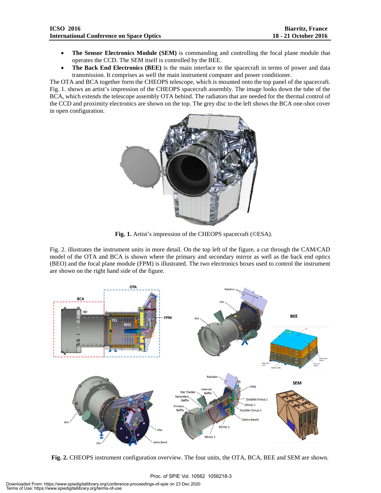- **The Sensor Electronics Module (SEM)** is commanding and controlling the focal plane module that operates the CCD. The SEM itself is controlled by the BEE.
- **The Back End Electronics (BEE)** is the main interface to the spacecraft in terms of power and data transmission. It comprises as well the main instrument computer and power conditioner.

The OTA and BCA together form the CHEOPS telescope, which is mounted onto the top panel of the spacecraft. Fig. 1. shows an artist's impression of the CHEOPS spacecraft assembly. The image looks down the tube of the BCA, which extends the telescope assembly OTA behind. The radiators that are needed for the thermal control of the CCD and proximity electronics are shown on the top. The grey disc to the left shows the BCA one-shot cover in open configuration.



**Fig. 1.** Artist's impression of the CHEOPS spacecraft (©ESA).

Fig. 2. illustrates the instrument units in more detail. On the top left of the figure, a cut through the CAM/CAD model of the OTA and BCA is shown where the primary and secondary mirror as well as the back end optics (BEO) and the focal plane module (FPM) is illustrated. The two electronics boxes used to control the instrument are shown on the right hand side of the figure.



**Fig. 2.** CHEOPS instrument configuration overview. The four units, the OTA, BCA, BEE and SEM are shown.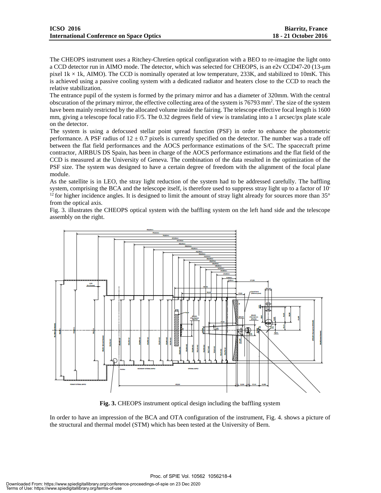The CHEOPS instrument uses a Ritchey-Chretien optical configuration with a BEO to re-imagine the light onto a CCD detector run in AIMO mode. The detector, which was selected for CHEOPS, is an e2v CCD47-20 (13-μm pixel  $1k \times 1k$ , AIMO). The CCD is nominally operated at low temperature, 233K, and stabilized to 10mK. This is achieved using a passive cooling system with a dedicated radiator and heaters close to the CCD to reach the relative stabilization.

The entrance pupil of the system is formed by the primary mirror and has a diameter of 320mm. With the central obscuration of the primary mirror, the effective collecting area of the system is 76793 mm<sup>2</sup>. The size of the system have been mainly restricted by the allocated volume inside the fairing. The telescope effective focal length is 1600 mm, giving a telescope focal ratio F/5. The 0.32 degrees field of view is translating into a 1 arcsec/px plate scale on the detector.

The system is using a defocused stellar point spread function (PSF) in order to enhance the photometric performance. A PSF radius of  $12 \pm 0.7$  pixels is currently specified on the detector. The number was a trade off between the flat field performances and the AOCS performance estimations of the S/C. The spacecraft prime contractor, AIRBUS DS Spain, has been in charge of the AOCS performance estimations and the flat field of the CCD is measured at the University of Geneva. The combination of the data resulted in the optimization of the PSF size. The system was designed to have a certain degree of freedom with the alignment of the focal plane module.

As the satellite is in LEO, the stray light reduction of the system had to be addressed carefully. The baffling system, comprising the BCA and the telescope itself, is therefore used to suppress stray light up to a factor of 10- <sup>12</sup> for higher incidence angles. It is designed to limit the amount of stray light already for sources more than  $35^{\circ}$ from the optical axis.

Fig. 3. illustrates the CHEOPS optical system with the baffling system on the left hand side and the telescope assembly on the right.



**Fig. 3.** CHEOPS instrument optical design including the baffling system

In order to have an impression of the BCA and OTA configuration of the instrument, Fig. 4. shows a picture of the structural and thermal model (STM) which has been tested at the University of Bern.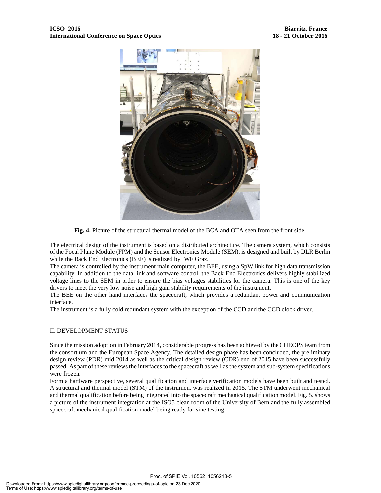

**Fig. 4.** Picture of the structural thermal model of the BCA and OTA seen from the front side.

The electrical design of the instrument is based on a distributed architecture. The camera system, which consists of the Focal Plane Module (FPM) and the Sensor Electronics Module (SEM), is designed and built by DLR Berlin while the Back End Electronics (BEE) is realized by IWF Graz.

The camera is controlled by the instrument main computer, the BEE, using a SpW link for high data transmission capability. In addition to the data link and software control, the Back End Electronics delivers highly stabilized voltage lines to the SEM in order to ensure the bias voltages stabilities for the camera. This is one of the key drivers to meet the very low noise and high gain stability requirements of the instrument.

The BEE on the other hand interfaces the spacecraft, which provides a redundant power and communication interface.

The instrument is a fully cold redundant system with the exception of the CCD and the CCD clock driver.

### II. DEVELOPMENT STATUS

Since the mission adoption in February 2014, considerable progress has been achieved by the CHEOPS team from the consortium and the European Space Agency. The detailed design phase has been concluded, the preliminary design review (PDR) mid 2014 as well as the critical design review (CDR) end of 2015 have been successfully passed. As part of these reviews the interfaces to the spacecraft as well as the system and sub-system specifications were frozen.

Form a hardware perspective, several qualification and interface verification models have been built and tested. A structural and thermal model (STM) of the instrument was realized in 2015. The STM underwent mechanical and thermal qualification before being integrated into the spacecraft mechanical qualification model. Fig. 5. shows a picture of the instrument integration at the ISO5 clean room of the University of Bern and the fully assembled spacecraft mechanical qualification model being ready for sine testing.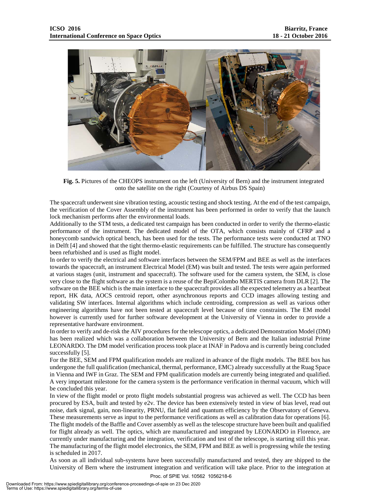

**Fig. 5.** Pictures of the CHEOPS instrument on the left (University of Bern) and the instrument integrated onto the satellite on the right (Courtesy of Airbus DS Spain)

The spacecraft underwent sine vibration testing, acoustic testing and shock testing. At the end of the test campaign, the verification of the Cover Assembly of the instrument has been performed in order to verify that the launch lock mechanism performs after the environmental loads.

Additionally to the STM tests, a dedicated test campaign has been conducted in order to verify the thermo-elastic performance of the instrument. The dedicated model of the OTA, which consists mainly of CFRP and a honeycomb sandwich optical bench, has been used for the tests. The performance tests were conducted at TNO in Delft [4] and showed that the tight thermo-elastic requirements can be fulfilled. The structure has consequently been refurbished and is used as flight model.

In order to verify the electrical and software interfaces between the SEM/FPM and BEE as well as the interfaces towards the spacecraft, an instrument Electrical Model (EM) was built and tested. The tests were again performed at various stages (unit, instrument and spacecraft). The software used for the camera system, the SEM, is close very close to the flight software as the system is a reuse of the BepiColombo MERTIS camera from DLR [2]. The software on the BEE which is the main interface to the spacecraft provides all the expected telemetry as a heartbeat report, HK data, AOCS centroid report, other asynchronous reports and CCD images allowing testing and validating SW interfaces. Internal algorithms which include centroiding, compression as well as various other engineering algorithms have not been tested at spacecraft level because of time constraints. The EM model however is currently used for further software development at the University of Vienna in order to provide a representative hardware environment.

In order to verify and de-risk the AIV procedures for the telescope optics, a dedicated Demonstration Model (DM) has been realized which was a collaboration between the University of Bern and the Italian industrial Prime LEONARDO. The DM model verification process took place at INAF in Padova and is currently being concluded successfully [5].

For the BEE, SEM and FPM qualification models are realized in advance of the flight models. The BEE box has undergone the full qualification (mechanical, thermal, performance, EMC) already successfully at the Ruag Space in Vienna and IWF in Graz. The SEM and FPM qualification models are currently being integrated and qualified. A very important milestone for the camera system is the performance verification in thermal vacuum, which will be concluded this year.

In view of the flight model or proto flight models substantial progress was achieved as well. The CCD has been procured by ESA, built and tested by e2v. The device has been extensively tested in view of bias level, read out noise, dark signal, gain, non-linearity, PRNU, flat field and quantum efficiency by the Observatory of Geneva. These measurements serve as input to the performance verifications as well as calibration data for operations [6]. The flight models of the Baffle and Cover assembly as well as the telescope structure have been built and qualified for flight already as well. The optics, which are manufactured and integrated by LEONARDO in Florence, are currently under manufacturing and the integration, verification and test of the telescope, is starting still this year. The manufacturing of the flight model electronics, the SEM, FPM and BEE as well is progressing while the testing is scheduled in 2017.

As soon as all individual sub-systems have been successfully manufactured and tested, they are shipped to the University of Bern where the instrument integration and verification will take place. Prior to the integration at

Proc. of SPIE Vol. 10562 1056218-6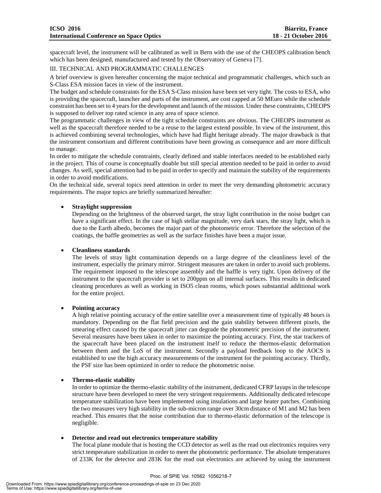spacecraft level, the instrument will be calibrated as well in Bern with the use of the CHEOPS calibration bench which has been designed, manufactured and tested by the Observatory of Geneva [7].

## III. TECHNICAL AND PROGRAMMATIC CHALLENGES

A brief overview is given hereafter concerning the major technical and programmatic challenges, which such an S-Class ESA mission faces in view of the instrument.

The budget and schedule constraints for the ESA S-Class mission have been set very tight. The costs to ESA, who is providing the spacecraft, launcher and parts of the instrument, are cost capped at 50 MEuro while the schedule constraint has been set to 4 years for the development and launch of the mission. Under these constraints, CHEOPS is supposed to deliver top rated science in any area of space science.

The programmatic challenges in view of the tight schedule constraints are obvious. The CHEOPS instrument as well as the spacecraft therefore needed to be a reuse to the largest extend possible. In view of the instrument, this is achieved combining several technologies, which have had flight heritage already. The major drawback is that the instrument consortium and different contributions have been growing as consequence and are more difficult to manage.

In order to mitigate the schedule constraints, clearly defined and stable interfaces needed to be established early in the project. This of course is conceptually doable but still special attention needed to be paid in order to avoid changes. As well, special attention had to be paid in order to specify and maintain the stability of the requirements in order to avoid modifications.

On the technical side, several topics need attention in order to meet the very demanding photometric accuracy requirements. The major topics are briefly summarized hereafter:

## • **Straylight suppression**

Depending on the brightness of the observed target, the stray light contribution in the noise budget can have a significant effect. In the case of high stellar magnitude, very dark stars, the stray light, which is due to the Earth albedo, becomes the major part of the photometric error. Therefore the selection of the coatings, the baffle geometries as well as the surface finishes have been a major issue.

## • **Cleanliness standards**

The levels of stray light contamination depends on a large degree of the cleanliness level of the instrument, especially the primary mirror. Stringent measures are taken in order to avoid such problems. The requirement imposed to the telescope assembly and the baffle is very tight. Upon delivery of the instrument to the spacecraft provider is set to 200ppm on all internal surfaces. This results in dedicated cleaning procedures as well as working in ISO5 clean rooms, which poses substantial additional work for the entire project.

### • **Pointing accuracy**

A high relative pointing accuracy of the entire satellite over a measurement time of typically 48 hours is mandatory. Depending on the flat field precision and the gain stability between different pixels, the smearing effect caused by the spacecraft jitter can degrade the photometric precision of the instrument. Several measures have been taken in order to maximize the pointing accuracy. First, the star trackers of the spacecraft have been placed on the instrument itself to reduce the thermos-elastic deformation between them and the LoS of the instrument. Secondly a payload feedback loop to the AOCS is established to use the high accuracy measurements of the instrument for the pointing accuracy. Thirdly, the PSF size has been optimized in order to reduce the photometric noise.

## • **Thermo-elastic stability**

In order to optimize the thermo-elastic stability of the instrument, dedicated CFRP layups in the telescope structure have been developed to meet the very stringent requirements. Additionally dedicated telescope temperature stabilization have been implemented using insulations and large heater patches. Combining the two measures very high stability in the sub-micron range over 30cm distance of M1 and M2 has been reached. This ensures that the noise contribution due to thermo-elastic deformation of the telescope is negligible.

### • **Detector and read out electronics temperature stability**

The focal plane module that is hosting the CCD detector as well as the read out electronics requires very strict temperature stabilization in order to meet the photometric performance. The absolute temperatures of 233K for the detector and 283K for the read out electronics are achieved by using the instrument